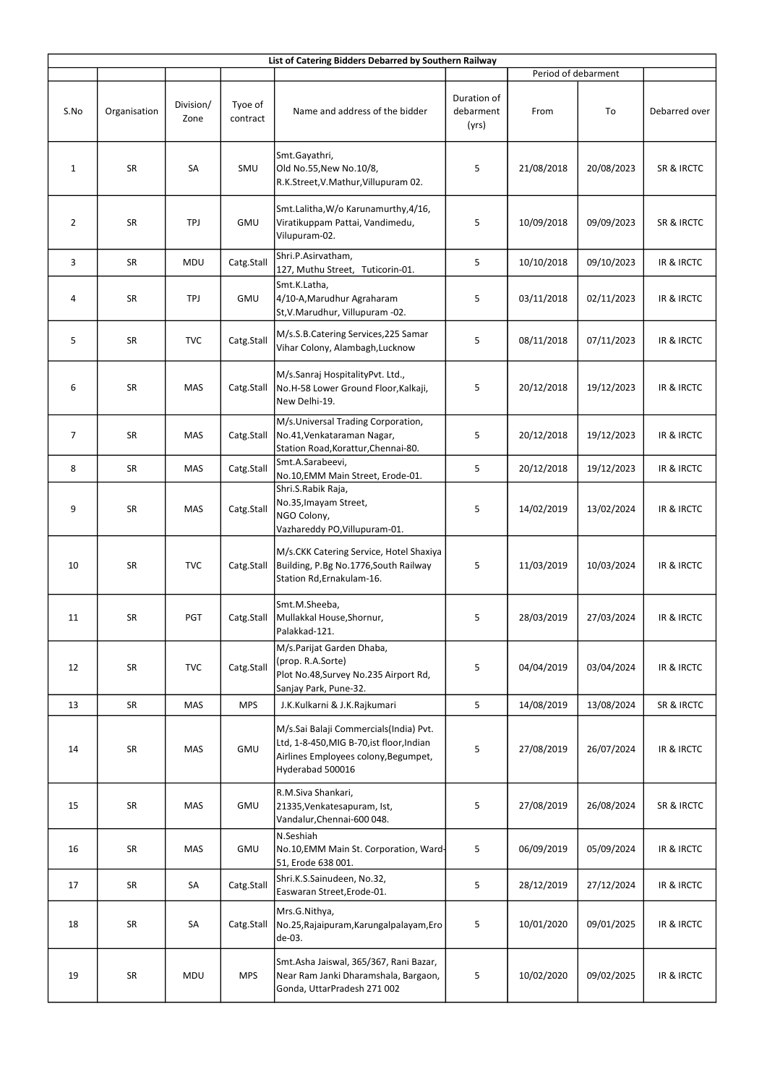| List of Catering Bidders Debarred by Southern Railway |              |                   |                     |                                                                                                                                                 |                                   |                     |            |               |  |  |
|-------------------------------------------------------|--------------|-------------------|---------------------|-------------------------------------------------------------------------------------------------------------------------------------------------|-----------------------------------|---------------------|------------|---------------|--|--|
|                                                       |              |                   |                     |                                                                                                                                                 |                                   | Period of debarment |            |               |  |  |
| S.No                                                  | Organisation | Division/<br>Zone | Tyoe of<br>contract | Name and address of the bidder                                                                                                                  | Duration of<br>debarment<br>(yrs) | From                | To         | Debarred over |  |  |
| $\mathbf{1}$                                          | SR           | SA                | SMU                 | Smt.Gayathri,<br>Old No.55, New No.10/8,<br>R.K.Street, V.Mathur, Villupuram 02.                                                                | 5                                 | 21/08/2018          | 20/08/2023 | SR & IRCTC    |  |  |
| $\overline{2}$                                        | SR           | TPJ               | GMU                 | Smt.Lalitha, W/o Karunamurthy, 4/16,<br>Viratikuppam Pattai, Vandimedu,<br>Vilupuram-02.                                                        | 5                                 | 10/09/2018          | 09/09/2023 | SR & IRCTC    |  |  |
| 3                                                     | SR           | MDU               | Catg.Stall          | Shri.P.Asirvatham,<br>127, Muthu Street, Tuticorin-01.                                                                                          | 5                                 | 10/10/2018          | 09/10/2023 | IR & IRCTC    |  |  |
| 4                                                     | SR           | TPJ               | <b>GMU</b>          | Smt.K.Latha,<br>4/10-A, Marudhur Agraharam<br>St, V. Marudhur, Villupuram -02.                                                                  | 5                                 | 03/11/2018          | 02/11/2023 | IR & IRCTC    |  |  |
| 5                                                     | SR           | <b>TVC</b>        | Catg.Stall          | M/s.S.B.Catering Services, 225 Samar<br>Vihar Colony, Alambagh, Lucknow                                                                         | 5                                 | 08/11/2018          | 07/11/2023 | IR & IRCTC    |  |  |
| 6                                                     | SR           | MAS               | Catg.Stall          | M/s.Sanraj HospitalityPvt. Ltd.,<br>No.H-58 Lower Ground Floor, Kalkaji,<br>New Delhi-19.                                                       | 5                                 | 20/12/2018          | 19/12/2023 | IR & IRCTC    |  |  |
| 7                                                     | SR           | <b>MAS</b>        | Catg.Stall          | M/s.Universal Trading Corporation,<br>No.41, Venkataraman Nagar,<br>Station Road, Korattur, Chennai-80.                                         | 5                                 | 20/12/2018          | 19/12/2023 | IR & IRCTC    |  |  |
| 8                                                     | SR           | <b>MAS</b>        | Catg.Stall          | Smt.A.Sarabeevi,<br>No.10, EMM Main Street, Erode-01.                                                                                           | 5                                 | 20/12/2018          | 19/12/2023 | IR & IRCTC    |  |  |
| 9                                                     | SR           | MAS               | Catg.Stall          | Shri.S.Rabik Raja,<br>No.35, Imayam Street,<br>NGO Colony,<br>Vazhareddy PO, Villupuram-01.                                                     | 5                                 | 14/02/2019          | 13/02/2024 | IR & IRCTC    |  |  |
| 10                                                    | SR           | <b>TVC</b>        | Catg.Stall          | M/s.CKK Catering Service, Hotel Shaxiya<br>Building, P.Bg No.1776, South Railway<br>Station Rd, Ernakulam-16.                                   | 5                                 | 11/03/2019          | 10/03/2024 | IR & IRCTC    |  |  |
| 11                                                    | SR           | PGT               | Catg.Stall          | Smt.M.Sheeba,<br>Mullakkal House, Shornur,<br>Palakkad-121.                                                                                     | 5                                 | 28/03/2019          | 27/03/2024 | IR & IRCTC    |  |  |
| 12                                                    | SR           | <b>TVC</b>        | Catg.Stall          | M/s.Parijat Garden Dhaba,<br>(prop. R.A.Sorte)<br>Plot No.48, Survey No.235 Airport Rd,<br>Sanjay Park, Pune-32.                                | 5                                 | 04/04/2019          | 03/04/2024 | IR & IRCTC    |  |  |
| 13                                                    | SR           | MAS               | <b>MPS</b>          | J.K.Kulkarni & J.K.Rajkumari                                                                                                                    | 5                                 | 14/08/2019          | 13/08/2024 | SR & IRCTC    |  |  |
| 14                                                    | SR           | MAS               | GMU                 | M/s.Sai Balaji Commercials(India) Pvt.<br>Ltd, 1-8-450, MIG B-70, ist floor, Indian<br>Airlines Employees colony, Begumpet,<br>Hyderabad 500016 | 5                                 | 27/08/2019          | 26/07/2024 | IR & IRCTC    |  |  |
| 15                                                    | SR           | MAS               | GMU                 | R.M.Siva Shankari,<br>21335, Venkatesapuram, Ist,<br>Vandalur, Chennai-600 048.                                                                 | 5                                 | 27/08/2019          | 26/08/2024 | SR & IRCTC    |  |  |
| 16                                                    | SR           | <b>MAS</b>        | GMU                 | N.Seshiah<br>No.10, EMM Main St. Corporation, Ward-<br>51, Erode 638 001.                                                                       | 5                                 | 06/09/2019          | 05/09/2024 | IR & IRCTC    |  |  |
| 17                                                    | SR           | SA                | Catg.Stall          | Shri.K.S.Sainudeen, No.32,<br>Easwaran Street, Erode-01.                                                                                        | 5                                 | 28/12/2019          | 27/12/2024 | IR & IRCTC    |  |  |
| 18                                                    | SR           | SA                | Catg.Stall          | Mrs.G.Nithya,<br>No.25, Rajaipuram, Karungalpalayam, Ero<br>de-03.                                                                              | 5                                 | 10/01/2020          | 09/01/2025 | IR & IRCTC    |  |  |
| 19                                                    | SR           | MDU               | <b>MPS</b>          | Smt.Asha Jaiswal, 365/367, Rani Bazar,<br>Near Ram Janki Dharamshala, Bargaon,<br>Gonda, UttarPradesh 271 002                                   | 5                                 | 10/02/2020          | 09/02/2025 | IR & IRCTC    |  |  |